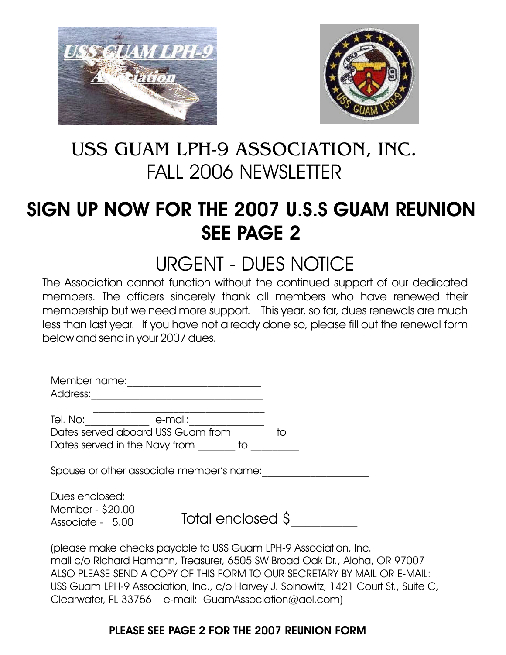



# USS GUAM LPH-9 ASSOCIATION, INC. FALL 2006 NEWSLETTER

# SIGN UP NOW FOR THE 2007 U.S.S GUAM REUNION SEE PAGE 2

# URGENT - DUES NOTICE

The Association cannot function without the continued support of our dedicated members. The officers sincerely thank all members who have renewed their membership but we need more support. This year, so far, dues renewals are much less than last year. If you have not already done so, please fill out the renewal form below and send in your 2007 dues.

| Member name:                                                                                                                                                                                                                                                                                                       |                   |    |  |
|--------------------------------------------------------------------------------------------------------------------------------------------------------------------------------------------------------------------------------------------------------------------------------------------------------------------|-------------------|----|--|
| Address:                                                                                                                                                                                                                                                                                                           |                   |    |  |
|                                                                                                                                                                                                                                                                                                                    |                   |    |  |
| Tel. No:                                                                                                                                                                                                                                                                                                           | e-mail:           |    |  |
| Dates served aboard USS Guam from                                                                                                                                                                                                                                                                                  |                   | to |  |
| Dates served in the Navy from                                                                                                                                                                                                                                                                                      | to                |    |  |
|                                                                                                                                                                                                                                                                                                                    |                   |    |  |
| Spouse or other associate member's name:                                                                                                                                                                                                                                                                           |                   |    |  |
|                                                                                                                                                                                                                                                                                                                    |                   |    |  |
| Dues enclosed:                                                                                                                                                                                                                                                                                                     |                   |    |  |
| Member - \$20.00                                                                                                                                                                                                                                                                                                   |                   |    |  |
| Associate - 5.00                                                                                                                                                                                                                                                                                                   | Total enclosed \$ |    |  |
|                                                                                                                                                                                                                                                                                                                    |                   |    |  |
| $\sqrt{1}$ $\sqrt{1}$ $\sqrt{1}$ $\sqrt{1}$ $\sqrt{1}$ $\sqrt{1}$ $\sqrt{1}$ $\sqrt{1}$ $\sqrt{1}$ $\sqrt{1}$ $\sqrt{1}$ $\sqrt{1}$ $\sqrt{1}$ $\sqrt{1}$ $\sqrt{1}$ $\sqrt{1}$ $\sqrt{1}$ $\sqrt{1}$ $\sqrt{1}$ $\sqrt{1}$ $\sqrt{1}$ $\sqrt{1}$ $\sqrt{1}$ $\sqrt{1}$ $\sqrt{1}$ $\sqrt{1}$ $\sqrt{1}$ $\sqrt{1$ |                   |    |  |

(please make checks payable to USS Guam LPH-9 Association, Inc. mail c/o Richard Hamann, Treasurer, 6505 SW Broad Oak Dr., Aloha, OR 97007 ALSO PLEASE SEND A COPY OF THIS FORM TO OUR SECRETARY BY MAIL OR E-MAIL: USS Guam LPH-9 Association, Inc., c/o Harvey J. Spinowitz, 1421 Court St., Suite C, Clearwater, FL 33756 e-mail: GuamAssociation@aol.com)

### PLEASE SEE PAGE 2 FOR THE 2007 REUNION FORM